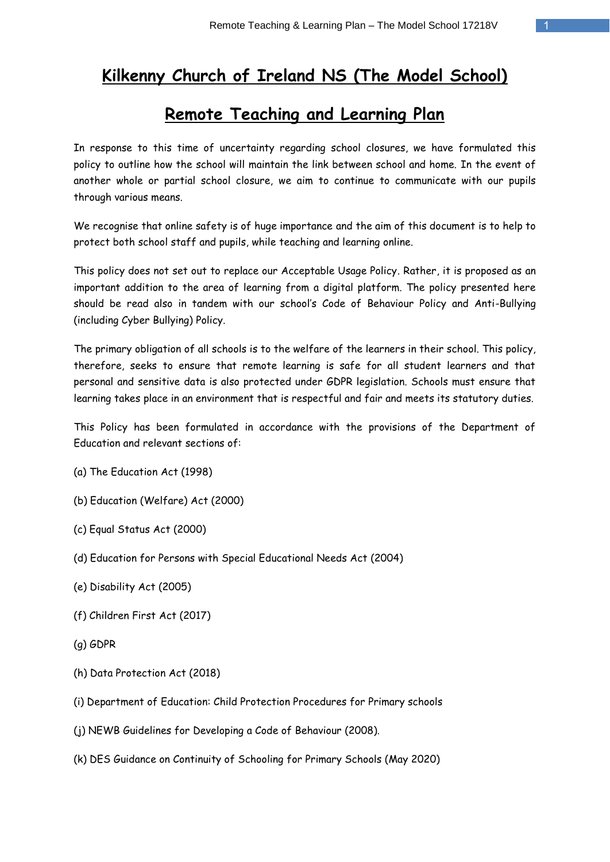# **Kilkenny Church of Ireland NS (The Model School)**

# **Remote Teaching and Learning Plan**

In response to this time of uncertainty regarding school closures, we have formulated this policy to outline how the school will maintain the link between school and home. In the event of another whole or partial school closure, we aim to continue to communicate with our pupils through various means.

We recognise that online safety is of huge importance and the aim of this document is to help to protect both school staff and pupils, while teaching and learning online.

This policy does not set out to replace our Acceptable Usage Policy. Rather, it is proposed as an important addition to the area of learning from a digital platform. The policy presented here should be read also in tandem with our school's Code of Behaviour Policy and Anti-Bullying (including Cyber Bullying) Policy.

The primary obligation of all schools is to the welfare of the learners in their school. This policy, therefore, seeks to ensure that remote learning is safe for all student learners and that personal and sensitive data is also protected under GDPR legislation. Schools must ensure that learning takes place in an environment that is respectful and fair and meets its statutory duties.

This Policy has been formulated in accordance with the provisions of the Department of Education and relevant sections of:

- (a) The Education Act (1998)
- (b) Education (Welfare) Act (2000)
- (c) Equal Status Act (2000)
- (d) Education for Persons with Special Educational Needs Act (2004)
- (e) Disability Act (2005)
- (f) Children First Act (2017)
- (g) GDPR
- (h) Data Protection Act (2018)
- (i) Department of Education: Child Protection Procedures for Primary schools
- (j) NEWB Guidelines for Developing a Code of Behaviour (2008).
- (k) DES Guidance on Continuity of Schooling for Primary Schools (May 2020)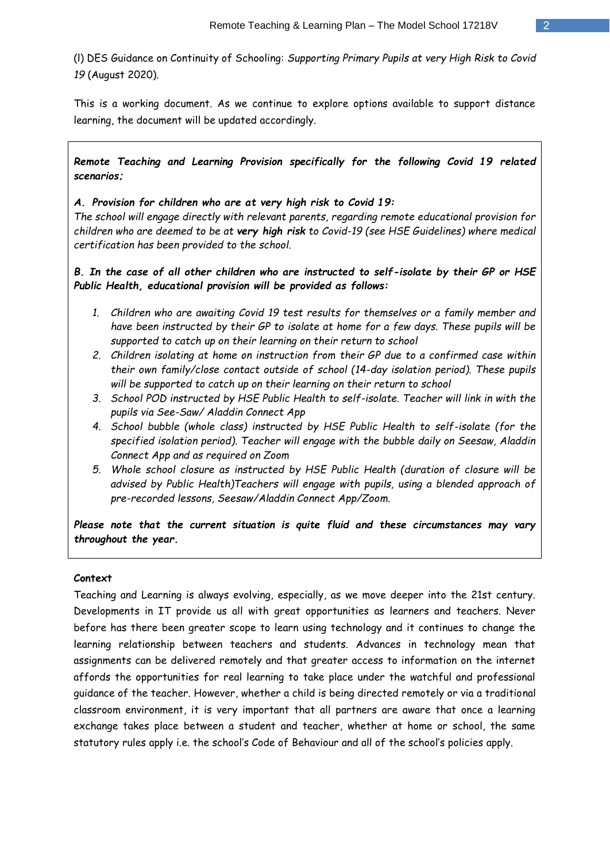(l) DES Guidance on Continuity of Schooling: *Supporting Primary Pupils at very High Risk to Covid 19* (August 2020)*.*

This is a working document. As we continue to explore options available to support distance learning, the document will be updated accordingly.

*Remote Teaching and Learning Provision specifically for the following Covid 19 related scenarios;*

## *A. Provision for children who are at very high risk to Covid 19:*

*The school will engage directly with relevant parents, regarding remote educational provision for children who are deemed to be at very high risk to Covid-19 (see HSE Guidelines) where medical certification has been provided to the school.* 

*B. In the case of all other children who are instructed to self-isolate by their GP or HSE Public Health, educational provision will be provided as follows:* 

- *1. Children who are awaiting Covid 19 test results for themselves or a family member and have been instructed by their GP to isolate at home for a few days. These pupils will be supported to catch up on their learning on their return to school*
- *2. Children isolating at home on instruction from their GP due to a confirmed case within their own family/close contact outside of school (14-day isolation period). These pupils will be supported to catch up on their learning on their return to school*
- *3. School POD instructed by HSE Public Health to self-isolate. Teacher will link in with the pupils via See-Saw/ Aladdin Connect App*
- *4. School bubble (whole class) instructed by HSE Public Health to self-isolate (for the specified isolation period). Teacher will engage with the bubble daily on Seesaw, Aladdin Connect App and as required on Zoom*
- *5. Whole school closure as instructed by HSE Public Health (duration of closure will be advised by Public Health)Teachers will engage with pupils, using a blended approach of pre-recorded lessons, Seesaw/Aladdin Connect App/Zoom.*

*Please note that the current situation is quite fluid and these circumstances may vary throughout the year.* 

#### **Context**

Teaching and Learning is always evolving, especially, as we move deeper into the 21st century. Developments in IT provide us all with great opportunities as learners and teachers. Never before has there been greater scope to learn using technology and it continues to change the learning relationship between teachers and students. Advances in technology mean that assignments can be delivered remotely and that greater access to information on the internet affords the opportunities for real learning to take place under the watchful and professional guidance of the teacher. However, whether a child is being directed remotely or via a traditional classroom environment, it is very important that all partners are aware that once a learning exchange takes place between a student and teacher, whether at home or school, the same statutory rules apply i.e. the school's Code of Behaviour and all of the school's policies apply.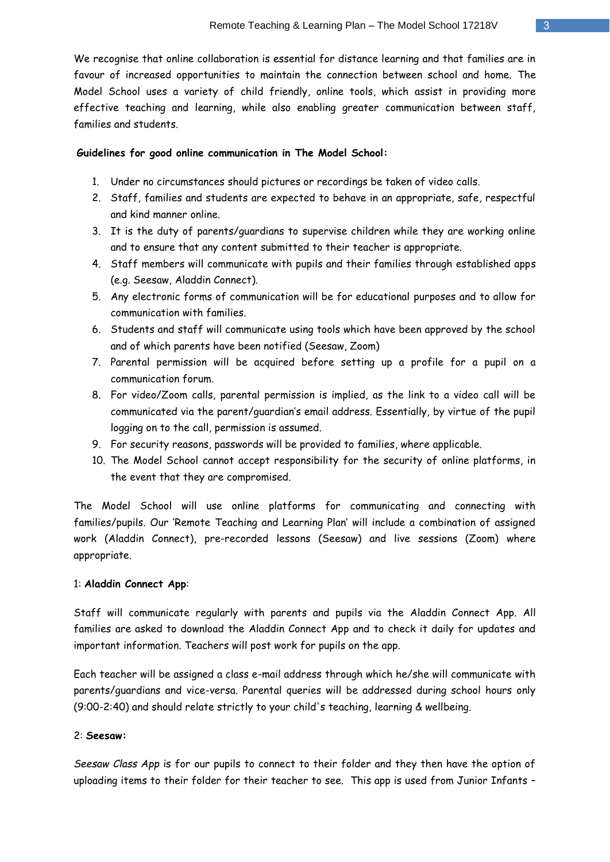We recognise that online collaboration is essential for distance learning and that families are in favour of increased opportunities to maintain the connection between school and home. The Model School uses a variety of child friendly, online tools, which assist in providing more effective teaching and learning, while also enabling greater communication between staff, families and students.

## **Guidelines for good online communication in The Model School:**

- 1. Under no circumstances should pictures or recordings be taken of video calls.
- 2. Staff, families and students are expected to behave in an appropriate, safe, respectful and kind manner online.
- 3. It is the duty of parents/guardians to supervise children while they are working online and to ensure that any content submitted to their teacher is appropriate.
- 4. Staff members will communicate with pupils and their families through established apps (e.g. Seesaw, Aladdin Connect).
- 5. Any electronic forms of communication will be for educational purposes and to allow for communication with families.
- 6. Students and staff will communicate using tools which have been approved by the school and of which parents have been notified (Seesaw, Zoom)
- 7. Parental permission will be acquired before setting up a profile for a pupil on a communication forum.
- 8. For video/Zoom calls, parental permission is implied, as the link to a video call will be communicated via the parent/guardian's email address. Essentially, by virtue of the pupil logging on to the call, permission is assumed.
- 9. For security reasons, passwords will be provided to families, where applicable.
- 10. The Model School cannot accept responsibility for the security of online platforms, in the event that they are compromised.

The Model School will use online platforms for communicating and connecting with families/pupils. Our 'Remote Teaching and Learning Plan' will include a combination of assigned work (Aladdin Connect), pre-recorded lessons (Seesaw) and live sessions (Zoom) where appropriate.

## 1: **Aladdin Connect App**:

Staff will communicate regularly with parents and pupils via the Aladdin Connect App. All families are asked to download the Aladdin Connect App and to check it daily for updates and important information. Teachers will post work for pupils on the app.

Each teacher will be assigned a class e-mail address through which he/she will communicate with parents/guardians and vice-versa. Parental queries will be addressed during school hours only (9:00-2:40) and should relate strictly to your child's teaching, learning & wellbeing.

## 2: **Seesaw:**

*Seesaw Class App* is for our pupils to connect to their folder and they then have the option of uploading items to their folder for their teacher to see. This app is used from Junior Infants –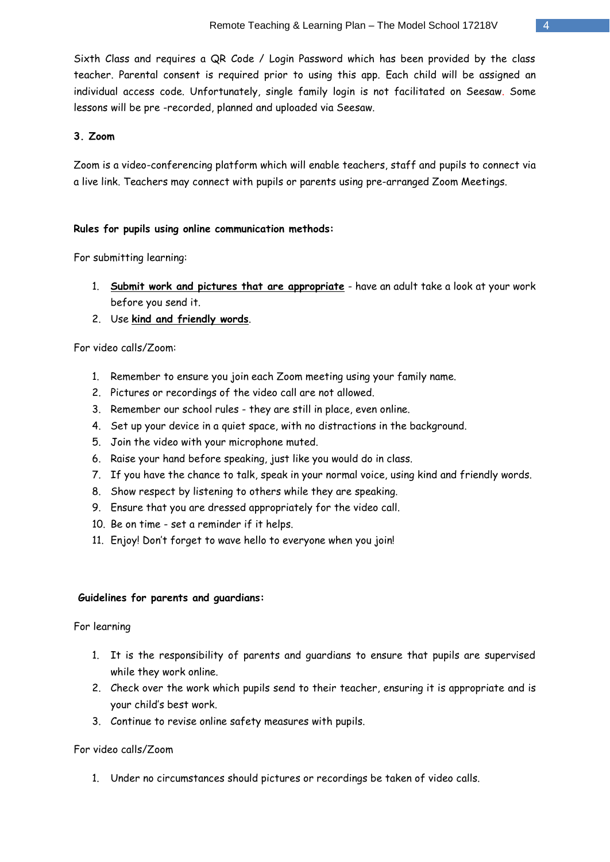Sixth Class and requires a QR Code / Login Password which has been provided by the class teacher. Parental consent is required prior to using this app. Each child will be assigned an individual access code. Unfortunately, single family login is not facilitated on Seesaw. Some lessons will be pre -recorded, planned and uploaded via Seesaw.

## **3. Zoom**

Zoom is a video-conferencing platform which will enable teachers, staff and pupils to connect via a live link. Teachers may connect with pupils or parents using pre-arranged Zoom Meetings.

## **Rules for pupils using online communication methods:**

For submitting learning:

- 1. **Submit work and pictures that are appropriate** have an adult take a look at your work before you send it.
- 2. Use **kind and friendly words**.

For video calls/Zoom:

- 1. Remember to ensure you join each Zoom meeting using your family name.
- 2. Pictures or recordings of the video call are not allowed.
- 3. Remember our school rules they are still in place, even online.
- 4. Set up your device in a quiet space, with no distractions in the background.
- 5. Join the video with your microphone muted.
- 6. Raise your hand before speaking, just like you would do in class.
- 7. If you have the chance to talk, speak in your normal voice, using kind and friendly words.
- 8. Show respect by listening to others while they are speaking.
- 9. Ensure that you are dressed appropriately for the video call.
- 10. Be on time set a reminder if it helps.
- 11. Enjoy! Don't forget to wave hello to everyone when you join!

## **Guidelines for parents and guardians:**

For learning

- 1. It is the responsibility of parents and guardians to ensure that pupils are supervised while they work online.
- 2. Check over the work which pupils send to their teacher, ensuring it is appropriate and is your child's best work.
- 3. Continue to revise online safety measures with pupils.

## For video calls/Zoom

1. Under no circumstances should pictures or recordings be taken of video calls.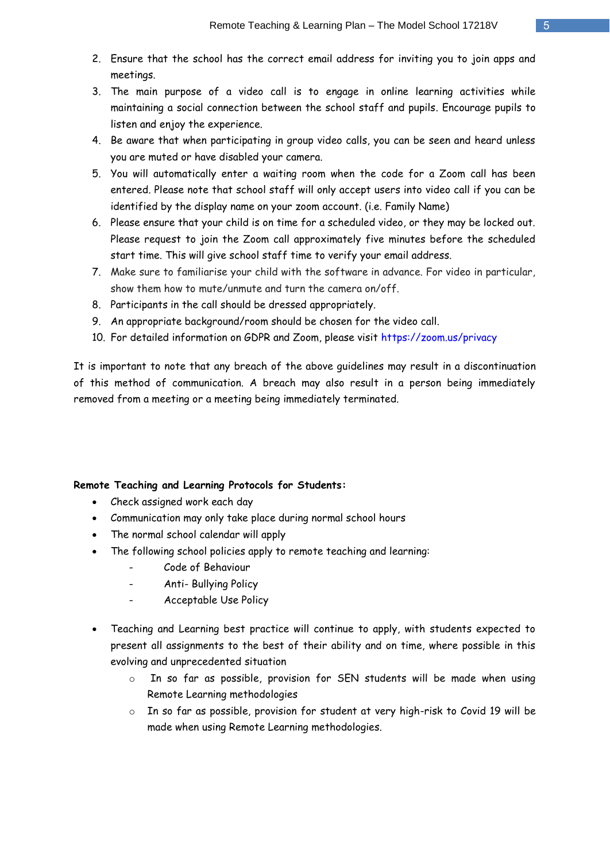- 2. Ensure that the school has the correct email address for inviting you to join apps and meetings.
- 3. The main purpose of a video call is to engage in online learning activities while maintaining a social connection between the school staff and pupils. Encourage pupils to listen and enjoy the experience.
- 4. Be aware that when participating in group video calls, you can be seen and heard unless you are muted or have disabled your camera.
- 5. You will automatically enter a waiting room when the code for a Zoom call has been entered. Please note that school staff will only accept users into video call if you can be identified by the display name on your zoom account. (i.e. Family Name)
- 6. Please ensure that your child is on time for a scheduled video, or they may be locked out. Please request to join the Zoom call approximately five minutes before the scheduled start time. This will give school staff time to verify your email address.
- 7. Make sure to familiarise your child with the software in advance. For video in particular, show them how to mute/unmute and turn the camera on/off.
- 8. Participants in the call should be dressed appropriately.
- 9. An appropriate background/room should be chosen for the video call.
- 10. For detailed information on GDPR and Zoom, please visit<https://zoom.us/privacy>

It is important to note that any breach of the above guidelines may result in a discontinuation of this method of communication. A breach may also result in a person being immediately removed from a meeting or a meeting being immediately terminated.

## **Remote Teaching and Learning Protocols for Students:**

- Check assigned work each day
- Communication may only take place during normal school hours
- The normal school calendar will apply
- The following school policies apply to remote teaching and learning:
	- Code of Behaviour
	- Anti- Bullying Policy
	- Acceptable Use Policy
- Teaching and Learning best practice will continue to apply, with students expected to present all assignments to the best of their ability and on time, where possible in this evolving and unprecedented situation
	- o In so far as possible, provision for SEN students will be made when using Remote Learning methodologies
	- o In so far as possible, provision for student at very high-risk to Covid 19 will be made when using Remote Learning methodologies.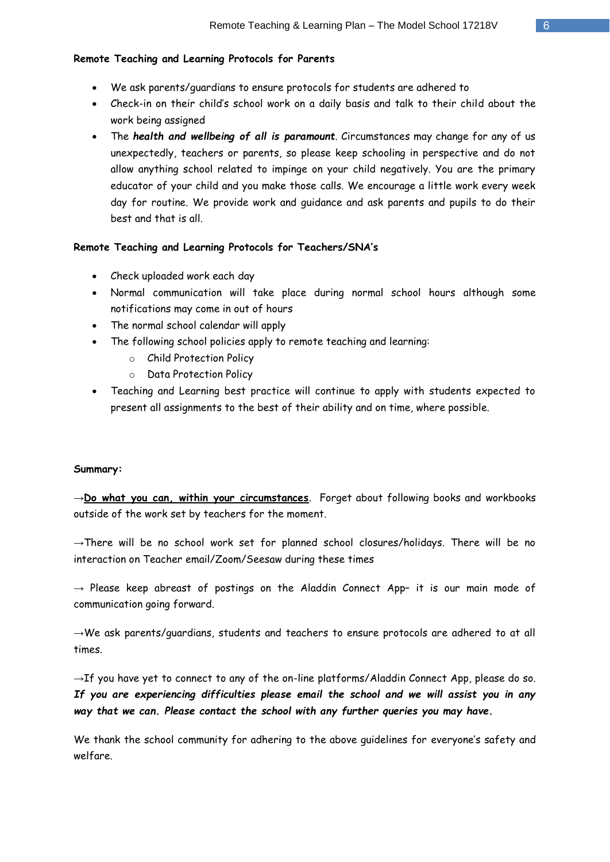## **Remote Teaching and Learning Protocols for Parents**

- We ask parents/guardians to ensure protocols for students are adhered to
- Check-in on their child's school work on a daily basis and talk to their child about the work being assigned
- The *health and wellbeing of all is paramount*. Circumstances may change for any of us unexpectedly, teachers or parents, so please keep schooling in perspective and do not allow anything school related to impinge on your child negatively. You are the primary educator of your child and you make those calls. We encourage a little work every week day for routine. We provide work and guidance and ask parents and pupils to do their best and that is all.

## **Remote Teaching and Learning Protocols for Teachers/SNA's**

- Check uploaded work each day
- Normal communication will take place during normal school hours although some notifications may come in out of hours
- The normal school calendar will apply
- The following school policies apply to remote teaching and learning:
	- o Child Protection Policy
	- o Data Protection Policy
- Teaching and Learning best practice will continue to apply with students expected to present all assignments to the best of their ability and on time, where possible.

## **Summary:**

→**Do what you can, within your circumstances**. Forget about following books and workbooks outside of the work set by teachers for the moment.

→There will be no school work set for planned school closures/holidays. There will be no interaction on Teacher email/Zoom/Seesaw during these times

 $\rightarrow$  Please keep abreast of postings on the Aladdin Connect App- it is our main mode of communication going forward.

 $\rightarrow$ We ask parents/guardians, students and teachers to ensure protocols are adhered to at all times.

→If you have yet to connect to any of the on-line platforms/Aladdin Connect App, please do so. *If you are experiencing difficulties please email the school and we will assist you in any way that we can. Please contact the school with any further queries you may have.*

We thank the school community for adhering to the above guidelines for everyone's safety and welfare.